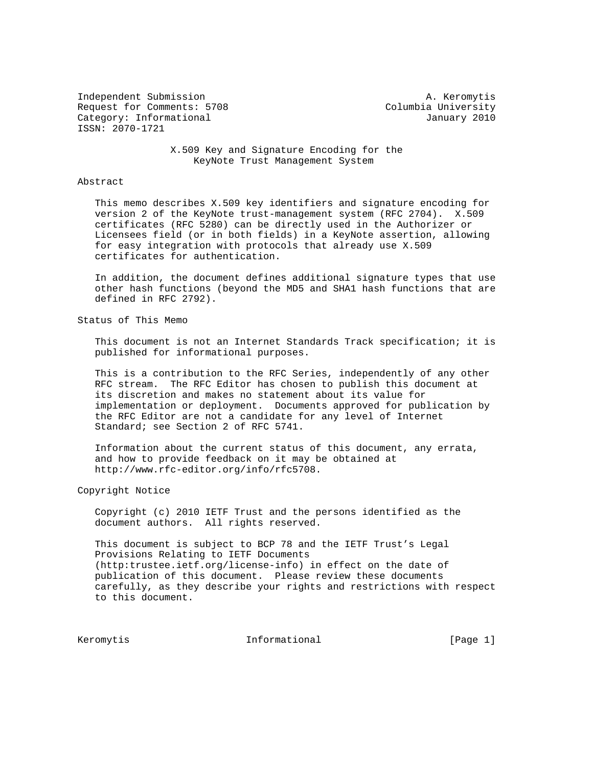Independent Submission **A. Keromytis** Request for Comments: 5708 Columbia University Category: Informational and Category: Informational ISSN: 2070-1721

 X.509 Key and Signature Encoding for the KeyNote Trust Management System

## Abstract

 This memo describes X.509 key identifiers and signature encoding for version 2 of the KeyNote trust-management system (RFC 2704). X.509 certificates (RFC 5280) can be directly used in the Authorizer or Licensees field (or in both fields) in a KeyNote assertion, allowing for easy integration with protocols that already use X.509 certificates for authentication.

 In addition, the document defines additional signature types that use other hash functions (beyond the MD5 and SHA1 hash functions that are defined in RFC 2792).

Status of This Memo

 This document is not an Internet Standards Track specification; it is published for informational purposes.

 This is a contribution to the RFC Series, independently of any other RFC stream. The RFC Editor has chosen to publish this document at its discretion and makes no statement about its value for implementation or deployment. Documents approved for publication by the RFC Editor are not a candidate for any level of Internet Standard; see Section 2 of RFC 5741.

 Information about the current status of this document, any errata, and how to provide feedback on it may be obtained at http://www.rfc-editor.org/info/rfc5708.

Copyright Notice

 Copyright (c) 2010 IETF Trust and the persons identified as the document authors. All rights reserved.

 This document is subject to BCP 78 and the IETF Trust's Legal Provisions Relating to IETF Documents (http:trustee.ietf.org/license-info) in effect on the date of publication of this document. Please review these documents carefully, as they describe your rights and restrictions with respect to this document.

Keromytis 1nformational [Page 1]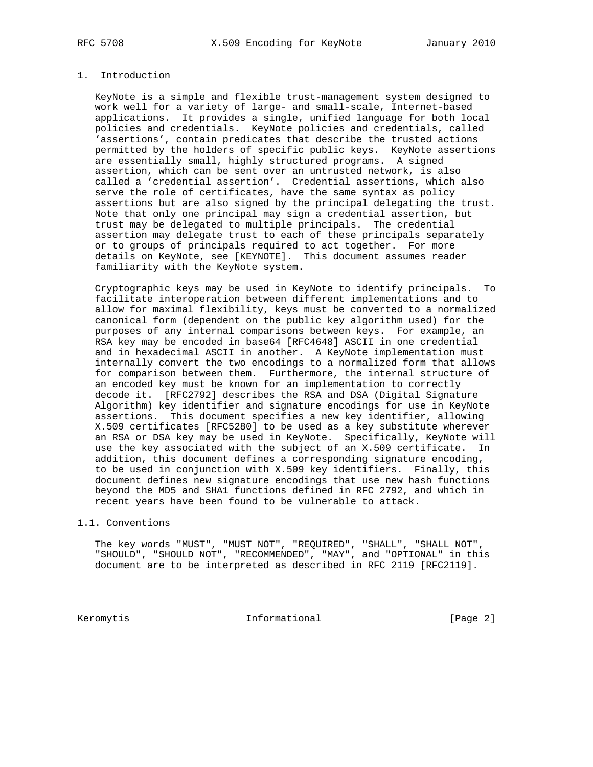## 1. Introduction

 KeyNote is a simple and flexible trust-management system designed to work well for a variety of large- and small-scale, Internet-based applications. It provides a single, unified language for both local policies and credentials. KeyNote policies and credentials, called 'assertions', contain predicates that describe the trusted actions permitted by the holders of specific public keys. KeyNote assertions are essentially small, highly structured programs. A signed assertion, which can be sent over an untrusted network, is also called a 'credential assertion'. Credential assertions, which also serve the role of certificates, have the same syntax as policy assertions but are also signed by the principal delegating the trust. Note that only one principal may sign a credential assertion, but trust may be delegated to multiple principals. The credential assertion may delegate trust to each of these principals separately or to groups of principals required to act together. For more details on KeyNote, see [KEYNOTE]. This document assumes reader familiarity with the KeyNote system.

 Cryptographic keys may be used in KeyNote to identify principals. To facilitate interoperation between different implementations and to allow for maximal flexibility, keys must be converted to a normalized canonical form (dependent on the public key algorithm used) for the purposes of any internal comparisons between keys. For example, an RSA key may be encoded in base64 [RFC4648] ASCII in one credential and in hexadecimal ASCII in another. A KeyNote implementation must internally convert the two encodings to a normalized form that allows for comparison between them. Furthermore, the internal structure of an encoded key must be known for an implementation to correctly decode it. [RFC2792] describes the RSA and DSA (Digital Signature Algorithm) key identifier and signature encodings for use in KeyNote assertions. This document specifies a new key identifier, allowing X.509 certificates [RFC5280] to be used as a key substitute wherever an RSA or DSA key may be used in KeyNote. Specifically, KeyNote will use the key associated with the subject of an X.509 certificate. In addition, this document defines a corresponding signature encoding, to be used in conjunction with X.509 key identifiers. Finally, this document defines new signature encodings that use new hash functions beyond the MD5 and SHA1 functions defined in RFC 2792, and which in recent years have been found to be vulnerable to attack.

## 1.1. Conventions

 The key words "MUST", "MUST NOT", "REQUIRED", "SHALL", "SHALL NOT", "SHOULD", "SHOULD NOT", "RECOMMENDED", "MAY", and "OPTIONAL" in this document are to be interpreted as described in RFC 2119 [RFC2119].

Keromytis 1nformational [Page 2]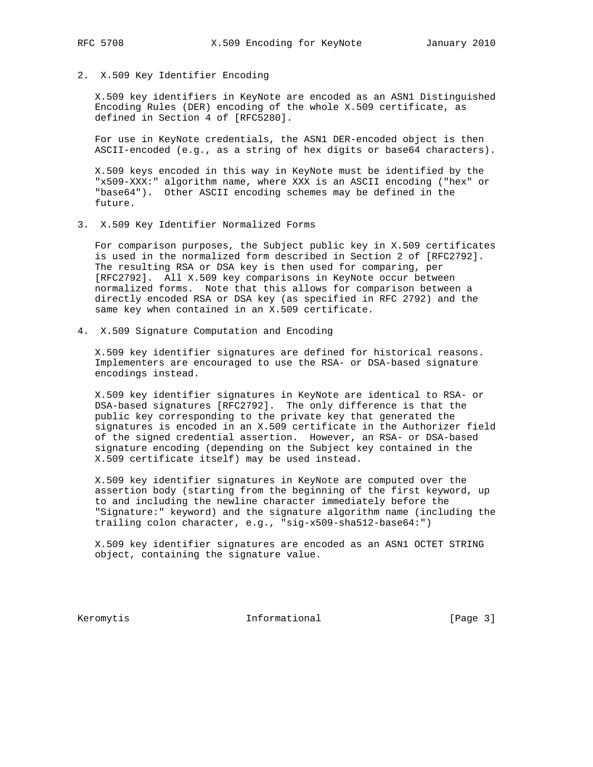2. X.509 Key Identifier Encoding

 X.509 key identifiers in KeyNote are encoded as an ASN1 Distinguished Encoding Rules (DER) encoding of the whole X.509 certificate, as defined in Section 4 of [RFC5280].

 For use in KeyNote credentials, the ASN1 DER-encoded object is then ASCII-encoded (e.g., as a string of hex digits or base64 characters).

 X.509 keys encoded in this way in KeyNote must be identified by the "x509-XXX:" algorithm name, where XXX is an ASCII encoding ("hex" or "base64"). Other ASCII encoding schemes may be defined in the future.

3. X.509 Key Identifier Normalized Forms

 For comparison purposes, the Subject public key in X.509 certificates is used in the normalized form described in Section 2 of [RFC2792]. The resulting RSA or DSA key is then used for comparing, per [RFC2792]. All X.509 key comparisons in KeyNote occur between normalized forms. Note that this allows for comparison between a directly encoded RSA or DSA key (as specified in RFC 2792) and the same key when contained in an X.509 certificate.

4. X.509 Signature Computation and Encoding

 X.509 key identifier signatures are defined for historical reasons. Implementers are encouraged to use the RSA- or DSA-based signature encodings instead.

 X.509 key identifier signatures in KeyNote are identical to RSA- or DSA-based signatures [RFC2792]. The only difference is that the public key corresponding to the private key that generated the signatures is encoded in an X.509 certificate in the Authorizer field of the signed credential assertion. However, an RSA- or DSA-based signature encoding (depending on the Subject key contained in the X.509 certificate itself) may be used instead.

 X.509 key identifier signatures in KeyNote are computed over the assertion body (starting from the beginning of the first keyword, up to and including the newline character immediately before the "Signature:" keyword) and the signature algorithm name (including the trailing colon character, e.g., "sig-x509-sha512-base64:")

 X.509 key identifier signatures are encoded as an ASN1 OCTET STRING object, containing the signature value.

Keromytis 1nformational [Page 3]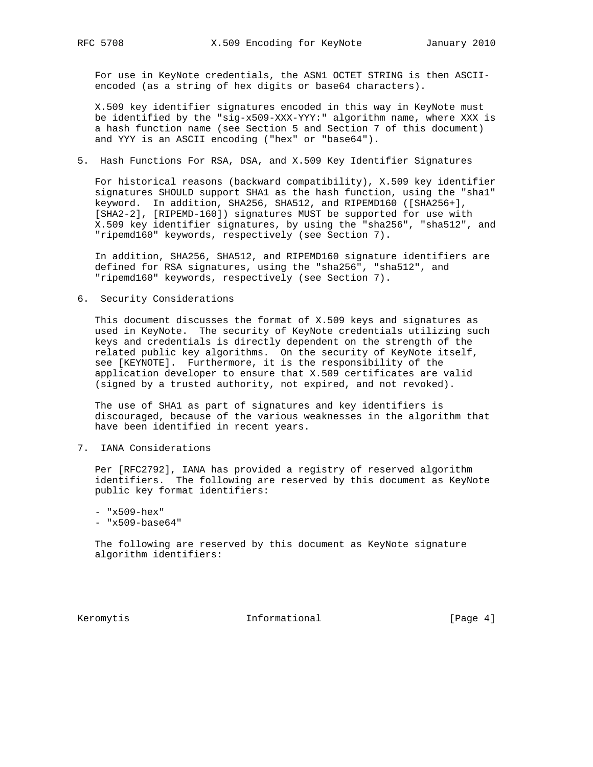For use in KeyNote credentials, the ASN1 OCTET STRING is then ASCII encoded (as a string of hex digits or base64 characters).

 X.509 key identifier signatures encoded in this way in KeyNote must be identified by the "sig-x509-XXX-YYY:" algorithm name, where XXX is a hash function name (see Section 5 and Section 7 of this document) and YYY is an ASCII encoding ("hex" or "base64").

5. Hash Functions For RSA, DSA, and X.509 Key Identifier Signatures

 For historical reasons (backward compatibility), X.509 key identifier signatures SHOULD support SHA1 as the hash function, using the "sha1" keyword. In addition, SHA256, SHA512, and RIPEMD160 ([SHA256+], [SHA2-2], [RIPEMD-160]) signatures MUST be supported for use with X.509 key identifier signatures, by using the "sha256", "sha512", and "ripemd160" keywords, respectively (see Section 7).

 In addition, SHA256, SHA512, and RIPEMD160 signature identifiers are defined for RSA signatures, using the "sha256", "sha512", and "ripemd160" keywords, respectively (see Section 7).

6. Security Considerations

 This document discusses the format of X.509 keys and signatures as used in KeyNote. The security of KeyNote credentials utilizing such keys and credentials is directly dependent on the strength of the related public key algorithms. On the security of KeyNote itself, see [KEYNOTE]. Furthermore, it is the responsibility of the application developer to ensure that X.509 certificates are valid (signed by a trusted authority, not expired, and not revoked).

 The use of SHA1 as part of signatures and key identifiers is discouraged, because of the various weaknesses in the algorithm that have been identified in recent years.

7. IANA Considerations

 Per [RFC2792], IANA has provided a registry of reserved algorithm identifiers. The following are reserved by this document as KeyNote public key format identifiers:

 - "x509-hex" - "x509-base64"

 The following are reserved by this document as KeyNote signature algorithm identifiers:

Keromytis 1nformational [Page 4]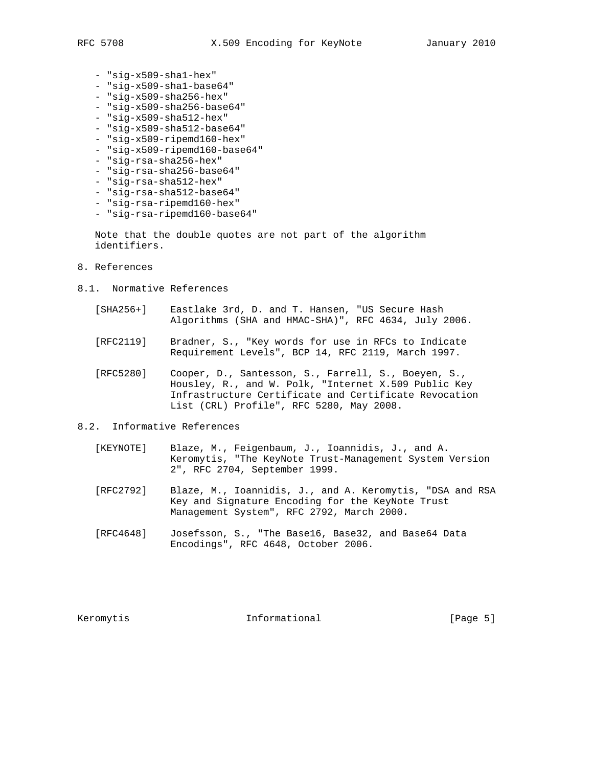- "sig-x509-sha1-hex"
- "sig-x509-sha1-base64"
- "sig-x509-sha256-hex"
- "sig-x509-sha256-base64"
- "sig-x509-sha512-hex"
- "sig-x509-sha512-base64"
- "sig-x509-ripemd160-hex"
- "sig-x509-ripemd160-base64"
- "sig-rsa-sha256-hex"
- "sig-rsa-sha256-base64"
- "sig-rsa-sha512-hex"
- "sig-rsa-sha512-base64"
- "sig-rsa-ripemd160-hex"
- "sig-rsa-ripemd160-base64"

 Note that the double quotes are not part of the algorithm identifiers.

- 8. References
- 8.1. Normative References
	- [SHA256+] Eastlake 3rd, D. and T. Hansen, "US Secure Hash Algorithms (SHA and HMAC-SHA)", RFC 4634, July 2006.
	- [RFC2119] Bradner, S., "Key words for use in RFCs to Indicate Requirement Levels", BCP 14, RFC 2119, March 1997.
	- [RFC5280] Cooper, D., Santesson, S., Farrell, S., Boeyen, S., Housley, R., and W. Polk, "Internet X.509 Public Key Infrastructure Certificate and Certificate Revocation List (CRL) Profile", RFC 5280, May 2008.

## 8.2. Informative References

- [KEYNOTE] Blaze, M., Feigenbaum, J., Ioannidis, J., and A. Keromytis, "The KeyNote Trust-Management System Version 2", RFC 2704, September 1999.
- [RFC2792] Blaze, M., Ioannidis, J., and A. Keromytis, "DSA and RSA Key and Signature Encoding for the KeyNote Trust Management System", RFC 2792, March 2000.
- [RFC4648] Josefsson, S., "The Base16, Base32, and Base64 Data Encodings", RFC 4648, October 2006.

Keromytis **Informational Informational** [Page 5]